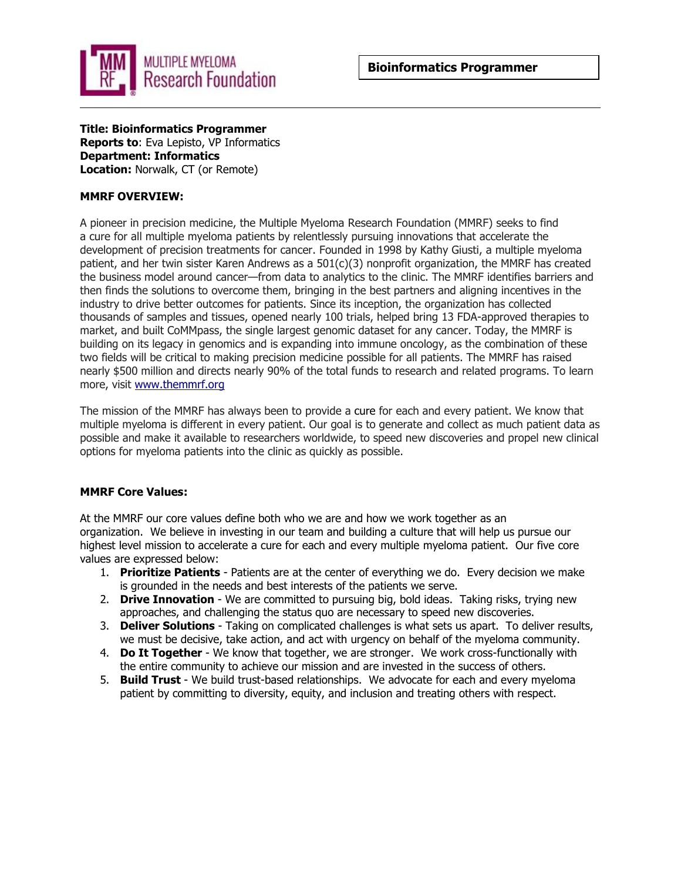

**Title: Bioinformatics Programmer Reports to**: Eva Lepisto, VP Informatics **Department: Informatics Location:** Norwalk, CT (or Remote)

### **MMRF OVERVIEW:**

A pioneer in precision medicine, the Multiple Myeloma Research Foundation (MMRF) seeks to find a cure for all multiple myeloma patients by relentlessly pursuing innovations that accelerate the development of precision treatments for cancer. Founded in 1998 by Kathy Giusti, a multiple myeloma patient, and her twin sister Karen Andrews as a 501(c)(3) nonprofit organization, the MMRF has created the business model around cancer—from data to analytics to the clinic. The MMRF identifies barriers and then finds the solutions to overcome them, bringing in the best partners and aligning incentives in the industry to drive better outcomes for patients. Since its inception, the organization has collected thousands of samples and tissues, opened nearly 100 trials, helped bring 13 FDA-approved therapies to market, and built CoMMpass, the single largest genomic dataset for any cancer. Today, the MMRF is building on its legacy in genomics and is expanding into immune oncology, as the combination of these two fields will be critical to making precision medicine possible for all patients. The MMRF has raised nearly \$500 million and directs nearly 90% of the total funds to research and related programs. To learn more, visit [www.themmrf.org](http://www.themmrf.org/)

The mission of the MMRF has always been to provide a cure for each and every patient. We know that multiple myeloma is different in every patient. Our goal is to generate and collect as much patient data as possible and make it available to researchers worldwide, to speed new discoveries and propel new clinical options for myeloma patients into the clinic as quickly as possible.

### **MMRF Core Values:**

At the MMRF our core values define both who we are and how we work together as an organization. We believe in investing in our team and building a culture that will help us pursue our highest level mission to accelerate a cure for each and every multiple myeloma patient. Our five core values are expressed below:

- 1. **Prioritize Patients**  Patients are at the center of everything we do. Every decision we make is grounded in the needs and best interests of the patients we serve.
- 2. **Drive Innovation**  We are committed to pursuing big, bold ideas. Taking risks, trying new approaches, and challenging the status quo are necessary to speed new discoveries.
- 3. **Deliver Solutions**  Taking on complicated challenges is what sets us apart. To deliver results, we must be decisive, take action, and act with urgency on behalf of the myeloma community.
- 4. **Do It Together**  We know that together, we are stronger. We work cross-functionally with the entire community to achieve our mission and are invested in the success of others.
- 5. **Build Trust**  We build trust-based relationships. We advocate for each and every myeloma patient by committing to diversity, equity, and inclusion and treating others with respect.